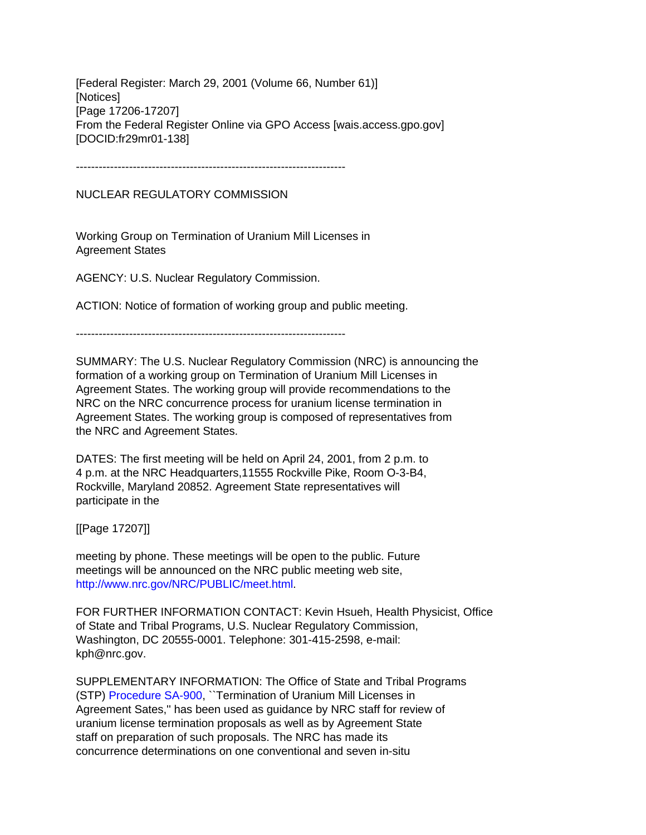[Federal Register: March 29, 2001 (Volume 66, Number 61)] [Notices] [Page 17206-17207] From the Federal Register Online via GPO Access [wais.access.gpo.gov] [DOCID:fr29mr01-138]

-----------------------------------------------------------------------

NUCLEAR REGULATORY COMMISSION

Working Group on Termination of Uranium Mill Licenses in Agreement States

AGENCY: U.S. Nuclear Regulatory Commission.

ACTION: Notice of formation of working group and public meeting.

-----------------------------------------------------------------------

SUMMARY: The U.S. Nuclear Regulatory Commission (NRC) is announcing the formation of a working group on Termination of Uranium Mill Licenses in Agreement States. The working group will provide recommendations to the NRC on the NRC concurrence process for uranium license termination in Agreement States. The working group is composed of representatives from the NRC and Agreement States.

DATES: The first meeting will be held on April 24, 2001, from 2 p.m. to 4 p.m. at the NRC Headquarters,11555 Rockville Pike, Room O-3-B4, Rockville, Maryland 20852. Agreement State representatives will participate in the

[[Page 17207]]

meeting by phone. These meetings will be open to the public. Future meetings will be announced on the NRC public meeting web site, [http://www.nrc.gov/NRC/PUBLIC/meet.html.](http://www.nrc.gov/NRC/PUBLIC/meet.html)

FOR FURTHER INFORMATION CONTACT: Kevin Hsueh, Health Physicist, Office of State and Tribal Programs, U.S. Nuclear Regulatory Commission, Washington, DC 20555-0001. Telephone: 301-415-2598, e-mail: kph@nrc.gov.

SUPPLEMENTARY INFORMATION: The Office of State and Tribal Programs (STP) [Procedure SA-900,](http://www.hsrd.ornl.gov/nrc/procedures/sa900.pdf) ``Termination of Uranium Mill Licenses in Agreement Sates,'' has been used as guidance by NRC staff for review of uranium license termination proposals as well as by Agreement State staff on preparation of such proposals. The NRC has made its concurrence determinations on one conventional and seven in-situ